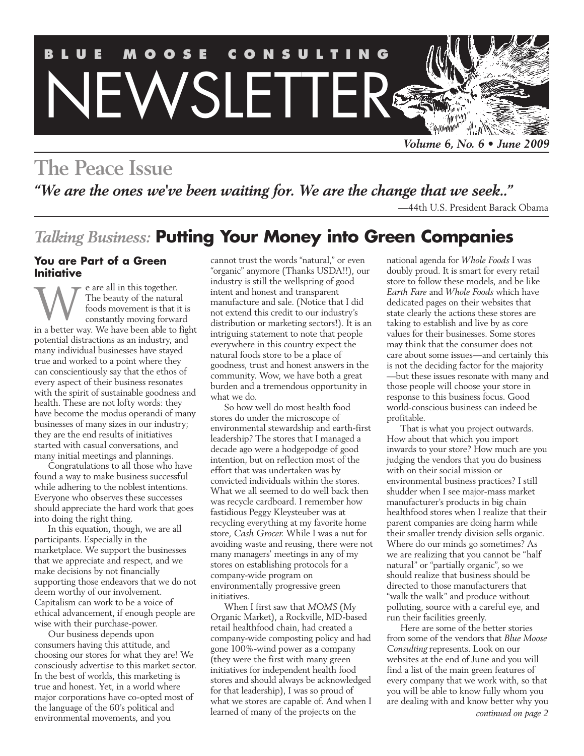

# **The Peace Issue**

*"We are the ones we've been waiting for. We are the change that we seek.."*

—44th U.S. President Barack Obama

## *Talking Business:* **Putting Your Money into Green Companies**

#### **You are Part of a Green Initiative**

e are all in this together. The beauty of the natural foods movement is that it is constantly moving forward e are all in this together.<br>The beauty of the natural<br>foods movement is that it is<br>constantly moving forward<br>in a better way. We have been able to fight potential distractions as an industry, and many individual businesses have stayed true and worked to a point where they can conscientiously say that the ethos of every aspect of their business resonates with the spirit of sustainable goodness and health. These are not lofty words: they have become the modus operandi of many businesses of many sizes in our industry; they are the end results of initiatives started with casual conversations, and many initial meetings and plannings.

Congratulations to all those who have found a way to make business successful while adhering to the noblest intentions. Everyone who observes these successes should appreciate the hard work that goes into doing the right thing.

In this equation, though, we are all participants. Especially in the marketplace. We support the businesses that we appreciate and respect, and we make decisions by not financially supporting those endeavors that we do not deem worthy of our involvement. Capitalism can work to be a voice of ethical advancement, if enough people are wise with their purchase-power.

Our business depends upon consumers having this attitude, and choosing our stores for what they are! We consciously advertise to this market sector. In the best of worlds, this marketing is true and honest. Yet, in a world where major corporations have co-opted most of the language of the 60's political and environmental movements, and you

cannot trust the words "natural," or even "organic" anymore (Thanks USDA!!), our industry is still the wellspring of good intent and honest and transparent manufacture and sale. (Notice that I did not extend this credit to our industry's distribution or marketing sectors!). It is an intriguing statement to note that people everywhere in this country expect the natural foods store to be a place of goodness, trust and honest answers in the community. Wow, we have both a great burden and a tremendous opportunity in what we do.

So how well do most health food stores do under the microscope of environmental stewardship and earth-first leadership? The stores that I managed a decade ago were a hodgepodge of good intention, but on reflection most of the effort that was undertaken was by convicted individuals within the stores. What we all seemed to do well back then was recycle cardboard. I remember how fastidious Peggy Kleysteuber was at recycling everything at my favorite home store, *Cash Grocer*. While I was a nut for avoiding waste and reusing, there were not many managers' meetings in any of my stores on establishing protocols for a company-wide program on environmentally progressive green initiatives.

When I first saw that *MOMS* (My Organic Market), a Rockville, MD-based retail healthfood chain, had created a company-wide composting policy and had gone 100%-wind power as a company (they were the first with many green initiatives for independent health food stores and should always be acknowledged for that leadership), I was so proud of what we stores are capable of. And when I learned of many of the projects on the

national agenda for *Whole Foods* I was doubly proud. It is smart for every retail store to follow these models, and be like *Earth Fare* and *Whole Foods* which have dedicated pages on their websites that state clearly the actions these stores are taking to establish and live by as core values for their businesses. Some stores may think that the consumer does not care about some issues—and certainly this is not the deciding factor for the majority —but these issues resonate with many and those people will choose your store in response to this business focus. Good world-conscious business can indeed be profitable.

That is what you project outwards. How about that which you import inwards to your store? How much are you judging the vendors that you do business with on their social mission or environmental business practices? I still shudder when I see major-mass market manufacturer's products in big chain healthfood stores when I realize that their parent companies are doing harm while their smaller trendy division sells organic. Where do our minds go sometimes? As we are realizing that you cannot be "half natural" or "partially organic", so we should realize that business should be directed to those manufacturers that "walk the walk" and produce without polluting, source with a careful eye, and run their facilities greenly.

Here are some of the better stories from some of the vendors that *Blue Moose Consulting* represents. Look on our websites at the end of June and you will find a list of the main green features of every company that we work with, so that you will be able to know fully whom you are dealing with and know better why you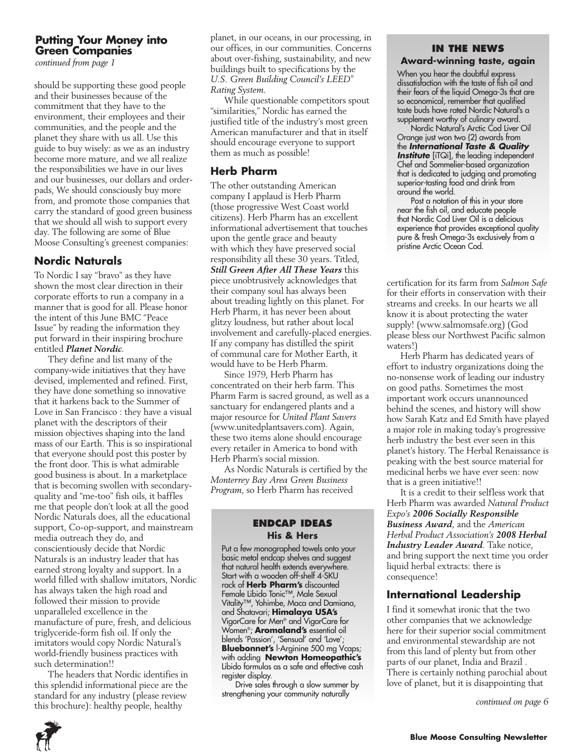### **Putting Your Money into Green Companies**

*continued from page 1*

should be supporting these good people and their businesses because of the commitment that they have to the environment, their employees and their communities, and the people and the planet they share with us all. Use this guide to buy wisely: as we as an industry become more mature, and we all realize the responsibilities we have in our lives and our businesses, our dollars and orderpads, We should consciously buy more from, and promote those companies that carry the standard of good green business that we should all wish to support every day. The following are some of Blue Moose Consulting's greenest companies:

### **Nordic Naturals**

To Nordic I say "bravo" as they have shown the most clear direction in their corporate efforts to run a company in a manner that is good for all. Please honor the intent of this June BMC "Peace Issue" by reading the information they put forward in their inspiring brochure entitled *Planet Nordic*.

They define and list many of the company-wide initiatives that they have devised, implemented and refined. First, they have done something so innovative that it harkens back to the Summer of Love in San Francisco : they have a visual planet with the descriptors of their mission objectives shaping into the land mass of our Earth. This is so inspirational that everyone should post this poster by the front door. This is what admirable good business is about. In a marketplace that is becoming swollen with secondaryquality and "me-too" fish oils, it baffles me that people don't look at all the good Nordic Naturals does, all the educational support, Co-op-support, and mainstream media outreach they do, and conscientiously decide that Nordic Naturals is an industry leader that has earned strong loyalty and support. In a world filled with shallow imitators, Nordic has always taken the high road and followed their mission to provide unparalleled excellence in the manufacture of pure, fresh, and delicious triglyceride-form fish oil. If only the imitators would copy Nordic Natural's world-friendly business practices with such determination!!

The headers that Nordic identifies in this splendid informational piece are the standard for any industry (please review this brochure): healthy people, healthy

planet, in our oceans, in our processing, in our offices, in our communities. Concerns about over-fishing, sustainability, and new buildings built to specifications by the *U.S. Green Building Council's LEED® Rating System.*

While questionable competitors spout "similarities," Nordic has earned the justified title of the industry's most green American manufacturer and that in itself should encourage everyone to support them as much as possible!

## **Herb Pharm**

The other outstanding American company I applaud is Herb Pharm (those progressive West Coast world citizens). Herb Pharm has an excellent informational advertisement that touches upon the gentle grace and beauty with which they have preserved social responsibility all these 30 years. Titled, *Still Green After All These Years* this piece unobtrusively acknowledges that their company soul has always been about treading lightly on this planet. For Herb Pharm, it has never been about glitzy loudness, but rather about local involvement and carefully-placed energies. If any company has distilled the spirit of communal care for Mother Earth, it would have to be Herb Pharm.

Since 1979, Herb Pharm has concentrated on their herb farm. This Pharm Farm is sacred ground, as well as a sanctuary for endangered plants and a major resource for *United Plant Savers*  (www.unitedplantsavers.com). Again, these two items alone should encourage every retailer in America to bond with Herb Pharm's social mission.

As Nordic Naturals is certified by the *Monterrey Bay Area Green Business Program*, so Herb Pharm has received

#### **Endcap Ideas His & Hers**

Put a few monographed towels onto your basic metal endcap shelves and suggest that natural health extends everywhere. Start with a wooden off-shelf 4-SKU rack of **Herb Pharm's** discounted Female Libido Tonic™, Male Sexual Vitality™, Yohimbe, Maca and Damiana, and Shatavari; **Himalaya USA's** VigorCare for Men® and VigorCare for Women®; **Aromaland's** essential oil blends 'Passion', 'Sensual' and 'Love'; **Bluebonnet's** l-Arginine 500 mg Vcaps; with adding **Newton Homeopathic's** Libido formulas as a safe and effective cash register display.

Drive sales through a slow summer by strengthening your community naturally

#### **IN the News Award-winning taste, again**

When you hear the doubtful express dissatisfaction with the taste of fish oil and their fears of the liquid Omega-3s that are so economical, remember that qualified taste buds have rated Nordic Natural's a supplement worthy of culinary award.

Nordic Natural's Arctic Cod Liver Oil Orange just won two (2) awards from the *International Taste & Quality Institute* [iTQi], the leading independent Chef and Sommelier-based organization that is dedicated to judging and promoting superior-tasting food and drink from around the world.

Post a notation of this in your store near the fish oil, and educate people that Nordic Cod Liver Oil is a delicious experience that provides exceptional quality pure & fresh Omega-3s exclusively from a pristine Arctic Ocean Cod.

certification for its farm from *Salmon Safe*  for their efforts in conservation with their streams and creeks. In our hearts we all know it is about protecting the water supply! (www.salmomsafe.org) (God please bless our Northwest Pacific salmon waters!)

Herb Pharm has dedicated years of effort to industry organizations doing the no-nonsense work of leading our industry on good paths. Sometimes the most important work occurs unannounced behind the scenes, and history will show how Sarah Katz and Ed Smith have played a major role in making today's progressive herb industry the best ever seen in this planet's history. The Herbal Renaissance is peaking with the best source material for medicinal herbs we have ever seen: now that is a green initiative!!

It is a credit to their selfless work that Herb Pharm was awarded *Natural Product Expo's 2006 Socially Responsible Business Award*, and the *American Herbal Product Association's 2008 Herbal Industry Leader Award*. Take notice, and bring support the next time you order liquid herbal extracts: there is consequence!

## **International Leadership**

I find it somewhat ironic that the two other companies that we acknowledge here for their superior social commitment and environmental stewardship are not from this land of plenty but from other parts of our planet, India and Brazil . There is certainly nothing parochial about love of planet, but it is disappointing that

*continued on page 6*

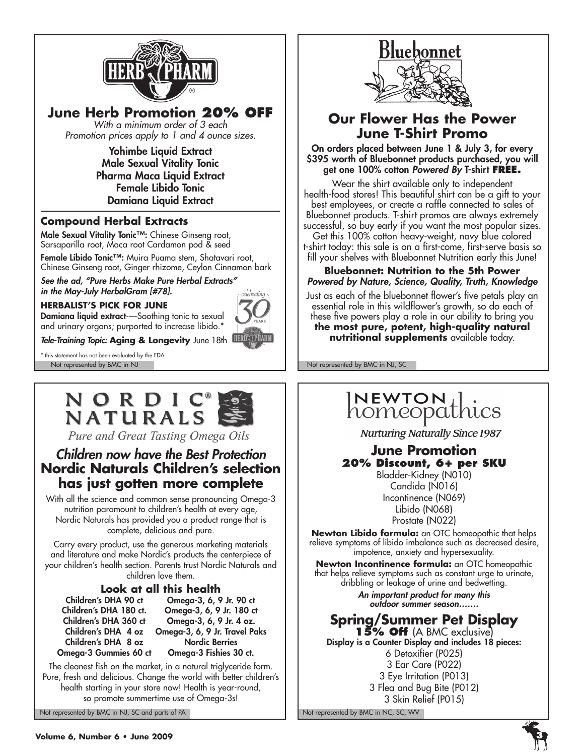

**June Herb Promotion 20% off**

*With a minimum order of 3 each Promotion prices apply to 1 and 4 ounce sizes.*

> Yohimbe Liquid Extract Male Sexual Vitality Tonic Pharma Maca Liquid Extract Female Libido Tonic Damiana Liquid Extract

### **Compound Herbal Extracts**

Male Sexual Vitality Tonic™: Chinese Ginseng root, Sarsaparilla root, Maca root Cardamon pod & seed

Female Libido Tonic™: Muira Puama stem, Shatavari root, Chinese Ginseng root, Ginger rhizome, Ceylon Cinnamon bark

*See the ad, "Pure Herbs Make Pure Herbal Extracts" in the May-July HerbalGram [#78].*

#### **HERBALIST'S PICK FOR JUNE**



and urinary organs; purported to increase libido.\* *Tele-Training Topic:* **Aging & Longevity** June 18th

Damiana liquid extract--Soothing tonic to sexual

Not represented by BMC in NJ Not represented by BMC in NJ, SC \* this statement has not been evaluated by the FDA



Pure and Great Tasting Omega Oils

## *Children now have the Best Protection* **Nordic Naturals Children's selection has just gotten more complete**

With all the science and common sense pronouncing Omega-3 nutrition paramount to children's health at every age, Nordic Naturals has provided you a product range that is complete, delicious and pure.

Carry every product, use the generous marketing materials and literature and make Nordic's products the centerpiece of your children's health section. Parents trust Nordic Naturals and children love them.

## **Look at all this health**<br>Children's DHA 90 ct Omegg-3, 6, 9

Children's DHA 8 oz Nordic Berries

Children's DHA 90 ct Omega-3, 6, 9 Jr. 90 ct Omega-3, 6, 9 Jr. 180 ct. Children's DHA 360 ct Omega-3, 6, 9 Jr. 4 oz. Children's DHA 4 oz Omega-3, 6, 9 Jr. Travel Paks Omega-3 Gummies 60 ct Omega-3 Fishies 30 ct.

The cleanest fish on the market, in a natural triglyceride form. Pure, fresh and delicious. Change the world with better children's health starting in your store now! Health is year-round, so promote summertime use of Omega-3s!

Not represented by BMC in NJ, SC and parts of PA Note that the Not represented by BMC in NC, SC, WV



## **Our Flower Has the Power June T-Shirt Promo**

On orders placed between June 1 & July 3, for every \$395 worth of Bluebonnet products purchased, you will get one 100% cotton *Powered By* T-shirt **FREE.**

Wear the shirt available only to independent health-food stores! This beautiful shirt can be a gift to your best employees, or create a raffle connected to sales of Bluebonnet products. T-shirt promos are always extremely successful, so buy early if you want the most popular sizes. Get this 100% cotton heavy-weight, navy blue colored t-shirt today: this sale is on a first-come, first-serve basis so fill your shelves with Bluebonnet Nutrition early this June!

**Bluebonnet: Nutrition to the 5th Power** *Powered by Nature, Science, Quality, Truth, Knowledge*

Just as each of the bluebonnet flower's five petals play an essential role in this wildflower's growth, so do each of these five powers play a role in our ability to bring you

**the most pure, potent, high-quality natural nutritional supplements** available today.

## $\overline{\mid}$ NEWTON $\overline{\mid}$ homeopathics

**Nurturing Naturally Since 1987** 

### **June Promotion 20% Discount, 6+ per SKU**

Bladder-Kidney (N010) Candida (N016) Incontinence (N069) Libido (N068) Prostate (N022)

**Newton Libido formula:** an OTC homeopathic that helps relieve symptoms of libido imbalance such as decreased desire, impotence, anxiety and hypersexuality.

**Newton Incontinence formula:** an OTC homeopathic that helps relieve symptoms such as constant urge to urinate, dribbling or leakage of urine and bedwetting.

> *An important product for many this outdoor summer season…….*

## **Spring/Summer Pet Display**

**15% Off** (A BMC exclusive) Display is a Counter Display and includes 18 pieces: 6 Detoxifier (P025) 3 Ear Care (P022) 3 Eye Irritation (P013) 3 Flea and Bug Bite (P012) 3 Skin Relief (P015)

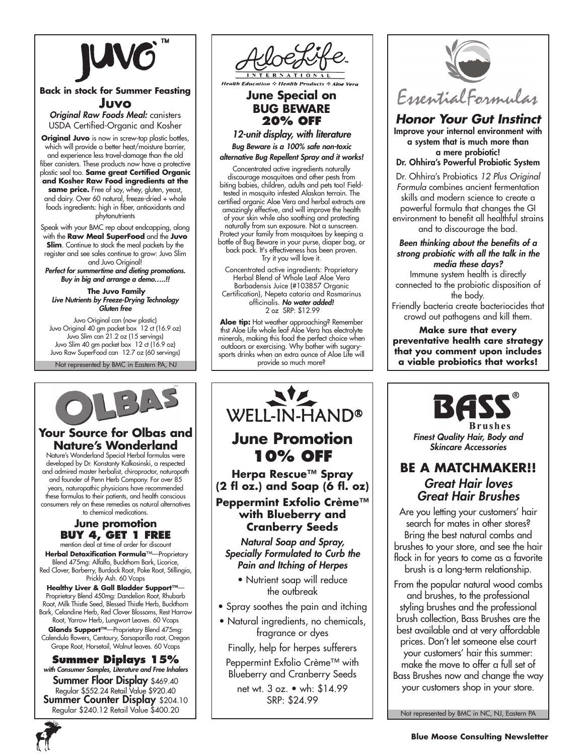

#### **Back in stock for Summer Feasting Juvo**

*Original Raw Foods Meal:* canisters USDA Certified-Organic and Kosher

**Original Juvo** is now in screw-top plastic bottles, which will provide a better heat/moisture barrier, and experience less travel-damage than the old fiber canisters. These products now have a protective plastic seal too. **Same great Certified Organic and Kosher Raw Food ingredients at the** 

**same price.** Free of soy, whey, gluten, yeast, and dairy. Over 60 natural, freeze-dried + whole foods ingredients: high in fiber, antioxidants and phytonutrients

Speak with your BMC rep about endcapping, along with the **Raw Meal SuperFood** and the **Juvo Slim**. Continue to stock the meal packets by the register and see sales continue to grow: Juvo Slim and Juvo Original!

*Perfect for summertime and dieting promotions. Buy in big and arrange a demo…..!!*

 **The Juvo Family** *Live Nutrients by Freeze-Drying Technology Gluten free*

Juvo Original can (now plastic) Juvo Original 40 gm packet box 12 ct (16.9 oz) Juvo Slim can 21.2 oz (15 servings) Juvo Slim 40 gm packet box 12 ct (16.9 oz) Juvo Raw SuperFood can 12.7 oz (60 servings)

Not represented by BMC in Eastern PA, NJ



### **Your Source for Olbas and Nature's Wonderland**

Nature's Wonderland Special Herbal formulas were developed by Dr. Konstanty Kalkosinski, a respected and admired master herbalist, chiropractor, naturopath and founder of Penn Herb Company. For over 85 years, naturopathic physicians have recommended these formulas to their patients, and health conscious consumers rely on these remedies as natural alternatives to chemical medications.

#### **June promotion Buy 4, Get 1 FREE** mention deal at time of order for discount

 **Herbal Detoxification Formula**™—Proprietary Blend 475mg: Alfalfa, Buckthorn Bark, Licorice, Red Clover, Barberry, Burdock Root, Poke Root, Stillingia, Prickly Ash. 60 Vcaps

**Healthy Liver & Gall Bladder Support™**— Proprietary Blend 450mg: Dandelion Root, Rhubarb Root, Milk Thistle Seed, Blessed Thistle Herb, Buckthorn Bark, Celandine Herb, Red Clover Blossoms, Rest Harrow Root, Yarrow Herb, Lungwort Leaves. 60 Vcaps **Glands Support™**—Proprietary Blend 475mg: Calendula flowers, Centaury, Sarsaparilla root, Oregon

Grape Root, Horsetail, Walnut leaves. 60 Vcaps **Summer Diplays 15%**  *with Consumer Samples, Literature and Free Inhalers* **Summer Floor Display \$469.40** Regular \$552.24 Retail Value \$920.40<br>**Summer Counter Display** \$204.10 Regular \$240.12 Retail Value \$400.20





**Health Education & Health Products** 

**June Special on BUG BEWARE 20% off**

*12-unit display, with literature Bug Beware is a 100% safe non-toxic alternative Bug Repellent Spray and it works!* 

Concentrated active ingredients naturally discourage mosquitoes and other pests from biting babies, children, adults and pets too! Fieldtested in mosquito infested Alaskan terrain. The certified organic Aloe Vera and herbal extracts are amazingly effective, and will improve the health of your skin while also soothing and protecting naturally from sun exposure. Not a sunscreen. Protect your family from mosquitoes by keeping a bottle of Bug Beware in your purse, diaper bag, or back pack. It's effectiveness has been proven. Try it you will love it.

Concentrated active ingredients: Proprietary Herbal Blend of Whole Leaf Aloe Vera Barbadensis Juice (#103857 Organic Certification), Nepeta cataria and Rosmarinus officinalis. *No water added!* 2 oz SRP: \$12.99

**Aloe tip:** Hot weather approaching? Remember thst Aloe Life whole leaf Aloe Vera has electrolyte minerals, making this food the perfect choice when outdoors or exercising. Why bother with sugarysports drinks when an extra ounce of Aloe Life will provide so much more?



net wt. 3 oz. • wh: \$14.99 SRP: \$24.99



*Honor Your Gut Instinct* Improve your internal environment with a system that is much more than a mere probiotic!

#### Dr. Ohhira's Powerful Probiotic System

Dr. Ohhira's Probiotics *12 Plus Original Formula* combines ancient fermentation skills and modern science to create a powerful formula that changes the GI environment to benefit all healthful strains and to discourage the bad.

*Been thinking about the benefits of a strong probiotic with all the talk in the media these days?*

Immune system health is directly connected to the probiotic disposition of the body.

Friendly bacteria create bacteriocides that crowd out pathogens and kill them.

**Make sure that every preventative health care strategy that you comment upon includes a viable probiotics that works!**



*Skincare Accessories* **Be a Matchmaker!!**

## *Great Hair loves Great Hair Brushes*

Are you letting your customers' hair search for mates in other stores? Bring the best natural combs and brushes to your store, and see the hair flock in for years to come as a favorite brush is a long-term relationship.

From the popular natural wood combs and brushes, to the professional styling brushes and the professional brush collection, Bass Brushes are the best available and at very affordable prices. Don't let someone else court your customers' hair this summer: make the move to offer a full set of Bass Brushes now and change the way your customers shop in your store.

Not represented by BMC in NC, NJ, Eastern PA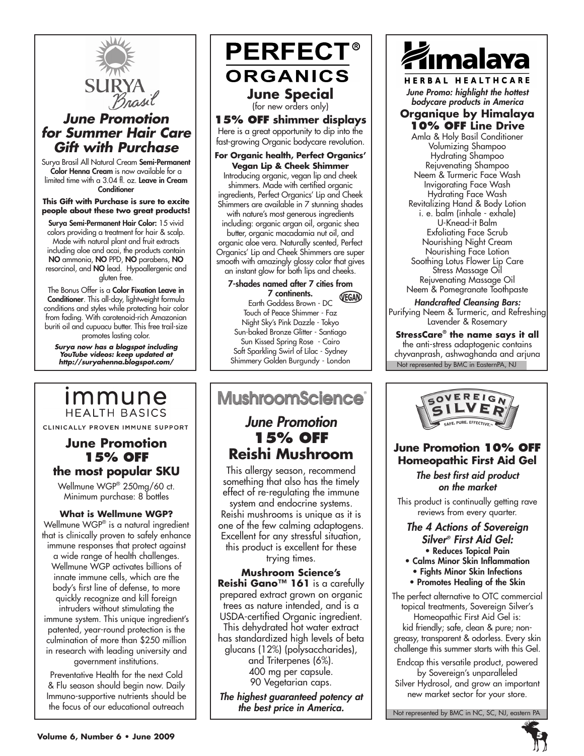

## *June Promotion for Summer Hair Care Gift with Purchase*

Surya Brasil All Natural Cream Semi-Permanent Color Henna Cream is now available for a limited time with a 3.04 fl. oz. Leave in Cream **Conditioner** 

#### **This Gift with Purchase is sure to excite people about these two great products!**

Surya Semi-Permanent Hair Color: 15 vivid colors providing a treatment for hair & scalp. Made with natural plant and fruit extracts including aloe and acai, the products contain NO ammonia, NO PPD, NO parabens, NO resorcinol, and NO lead. Hypoallergenic and gluten free.

The Bonus Offer is a Color Fixation Leave in Conditioner. This all-day, lightweight formula conditions and styles while protecting hair color from fading. With carotenoid-rich Amazonian buriti oil and cupuacu butter. This free trail-size promotes lasting color.

*Surya now has a blogspot including YouTube videos: keep updated at http://suryahenna.blogspot.com/*

## immune **HEALTH BASICS**

CLINICALLY PROVEN IMMUNE SUPPORT

## **June Promotion 15% off the most popular SKU**

Wellmune WGP® 250mg/60 ct. Minimum purchase: 8 bottles

#### **What is Wellmune WGP?** Wellmune WGP® is a natural ingredient that is clinically proven to safely enhance immune responses that protect against a wide range of health challenges. Wellmune WGP activates billions of innate immune cells, which are the body's first line of defense, to more quickly recognize and kill foreign intruders without stimulating the immune system. This unique ingredient's patented, year-round protection is the culmination of more than \$250 million in research with leading university and government institutions.

Preventative Health for the next Cold & Flu season should begin now. Daily Immuno-supportive nutrients should be the focus of our educational outreach

**PERFECT® ORGANICS June Special** (for new orders only) **15% off shimmer displays**  Here is a great opportunity to dip into the fast-growing Organic bodycare revolution. **For Organic health, Perfect Organics' Vegan Lip & Cheek Shimmer** Introducing organic, vegan lip and cheek shimmers. Made with certified organic ingredients, Perfect Organics' Lip and Cheek Shimmers are available in 7 stunning shades with nature's most generous ingredients

including: organic argan oil, organic shea butter, organic macadamia nut oil, and organic aloe vera. Naturally scented, Perfect Organics' Lip and Cheek Shimmers are super smooth with amazingly glossy color that gives an instant glow for both lips and cheeks.

7-shades named after 7 cities from 7 continents. VEGAN Earth Goddess Brown - DC Touch of Peace Shimmer - Faz Night Sky's Pink Dazzle - Tokyo Sun-baked Bronze Glitter - Santiago Sun Kissed Spring Rose - Cairo Soft Sparkling Swirl of Lilac - Sydney Shimmery Golden Burgundy - London

## **MushroomScience**®

## *June Promotion* **15% off Reishi Mushroom**

This allergy season, recommend something that also has the timely effect of re-regulating the immune system and endocrine systems. Reishi mushrooms is unique as it is one of the few calming adaptogens. Excellent for any stressful situation, this product is excellent for these trying times.

**Mushroom Science's Reishi Gano™ 161** is a carefully prepared extract grown on organic trees as nature intended, and is a USDA-certified Organic ingredient. This dehydrated hot water extract has standardized high levels of beta glucans (12%) (polysaccharides), and Triterpenes (6%). 400 mg per capsule. 90 Vegetarian caps.

*The highest guaranteed potency at the best price in America.*



HERBAL HEALTHCARE *June Promo: highlight the hottest bodycare products in America*

#### **Organique by Himalaya 10% off Line Drive**

Amla & Holy Basil Conditioner Volumizing Shampoo Hydrating Shampoo Rejuvenating Shampoo Neem & Turmeric Face Wash Invigorating Face Wash Hydrating Face Wash Revitalizing Hand & Body Lotion i. e. balm (inhale - exhale) U-Knead-it Balm Exfoliating Face Scrub Nourishing Night Cream Nourishing Face Lotion Soothing Lotus Flower Lip Care Stress Massage Oil Rejuvenating Massage Oil Neem & Pomegranate Toothpaste

*Handcrafted Cleansing Bars:*  Purifying Neem & Turmeric, and Refreshing Lavender & Rosemary

Not represented by BMC in EasternPA, NJ **StressCare® the name says it all** the anti-stress adaptogenic contains chyvanprash, ashwaghanda and arjuna



## **June Promotion 10% off Homeopathic First Aid Gel**

*The best first aid product on the market*

This product is continually getting rave reviews from every quarter.

#### *The 4 Actions of Sovereign Silver® First Aid Gel:* • Reduces Topical Pain

- Calms Minor Skin Inflammation
- Fights Minor Skin Infections • Promotes Healing of the Skin

The perfect alternative to OTC commercial topical treatments, Sovereign Silver's Homeopathic First Aid Gel is:

kid friendly; safe, clean & pure; nongreasy, transparent & odorless. Every skin challenge this summer starts with this Gel.

Endcap this versatile product, powered by Sovereign's unparalleled

Silver Hydrosol, and grow an important new market sector for your store.

Not represented by BMC in NC, SC, NJ, eastern PA

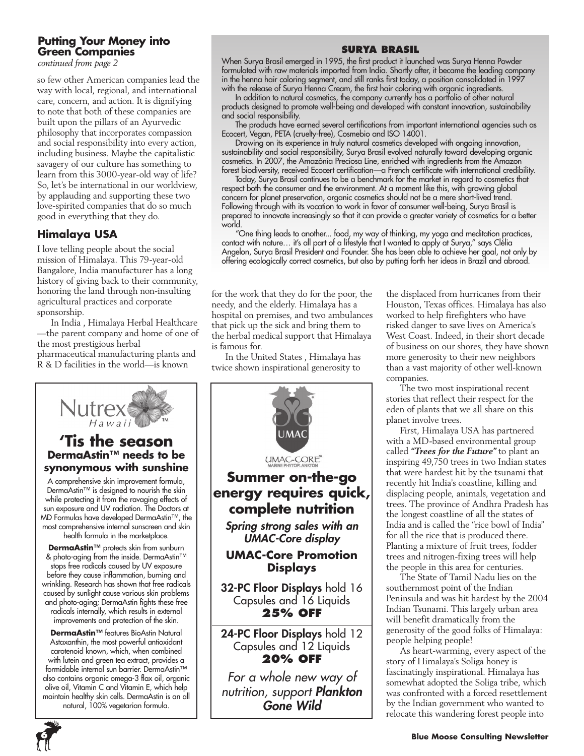## **Putting Your Money into Green Companies**

*continued from page 2*

so few other American companies lead the way with local, regional, and international care, concern, and action. It is dignifying to note that both of these companies are built upon the pillars of an Ayurvedic philosophy that incorporates compassion and social responsibility into every action, including business. Maybe the capitalistic savagery of our culture has something to learn from this 3000-year-old way of life? So, let's be international in our worldview, by applauding and supporting these two love-spirited companies that do so much good in everything that they do.

### **Himalaya USA**

I love telling people about the social mission of Himalaya. This 79-year-old Bangalore, India manufacturer has a long history of giving back to their community, honoring the land through non-insulting agricultural practices and corporate sponsorship.

In India , Himalaya Herbal Healthcare —the parent company and home of one of the most prestigious herbal pharmaceutical manufacturing plants and R & D facilities in the world—is known

**'Tis the season**

 $Hawai$ 

**Nutrex** 

health formula in the marketplace.

improvements and protection of the skin.

natural, 100% vegetarian formula.

## **Surya Brasil**

When Surya Brasil emerged in 1995, the first product it launched was Surya Henna Powder formulated with raw materials imported from India. Shortly after, it became the leading company in the henna hair coloring segment, and still ranks first today, a position consolidated in 1997 with the release of Surya Henna Cream, the first hair coloring with organic ingredients.

In addition to natural cosmetics, the company currently has a portfolio of other natural products designed to promote well-being and developed with constant innovation, sustainability and social responsibility.

The products have earned several certifications from important international agencies such as Ecocert, Vegan, PETA (cruelty-free), Cosmebio and ISO 14001.

Drawing on its experience in truly natural cosmetics developed with ongoing innovation, sustainability and social responsibility, Surya Brasil evolved naturally toward developing organic cosmetics. In 2007, the Amazônia Preciosa Line, enriched with ingredients from the Amazon forest biodiversity, received Ecocert certification—a French certificate with international credibility.

Today, Surya Brasil continues to be a benchmark for the market in regard to cosmetics that respect both the consumer and the environment. At a moment like this, with growing global concern for planet preservation, organic cosmetics should not be a mere short-lived trend. Following through with its vocation to work in favor of consumer well-being, Surya Brasil is prepared to innovate increasingly so that it can provide a greater variety of cosmetics for a better world.

"One thing leads to another... food, my way of thinking, my yoga and meditation practices, contact with nature... it's all part of a lifestyle that I wanted to apply at Surya," says Clélia Angelon, Surya Brasil President and Founder. She has been able to achieve her goal, not only by offering ecologically correct cosmetics, but also by putting forth her ideas in Brazil and abroad.

for the work that they do for the poor, the needy, and the elderly. Himalaya has a hospital on premises, and two ambulances that pick up the sick and bring them to the herbal medical support that Himalaya is famous for.

In the United States , Himalaya has twice shown inspirational generosity to



the displaced from hurricanes from their Houston, Texas offices. Himalaya has also worked to help firefighters who have risked danger to save lives on America's West Coast. Indeed, in their short decade of business on our shores, they have shown more generosity to their new neighbors than a vast majority of other well-known companies.

The two most inspirational recent stories that reflect their respect for the eden of plants that we all share on this planet involve trees.

First, Himalaya USA has partnered with a MD-based environmental group called *"Trees for the Future"* to plant an inspiring 49,750 trees in two Indian states that were hardest hit by the tsunami that recently hit India's coastline, killing and displacing people, animals, vegetation and trees. The province of Andhra Pradesh has the longest coastline of all the states of India and is called the "rice bowl of India" for all the rice that is produced there. Planting a mixture of fruit trees, fodder trees and nitrogen-fixing trees will help the people in this area for centuries.

The State of Tamil Nadu lies on the southernmost point of the Indian Peninsula and was hit hardest by the 2004 Indian Tsunami. This largely urban area will benefit dramatically from the generosity of the good folks of Himalaya: people helping people!

As heart-warming, every aspect of the story of Himalaya's Soliga honey is fascinatingly inspirational. Himalaya has somewhat adopted the Soliga tribe, which was confronted with a forced resettlement by the Indian government who wanted to relocate this wandering forest people into

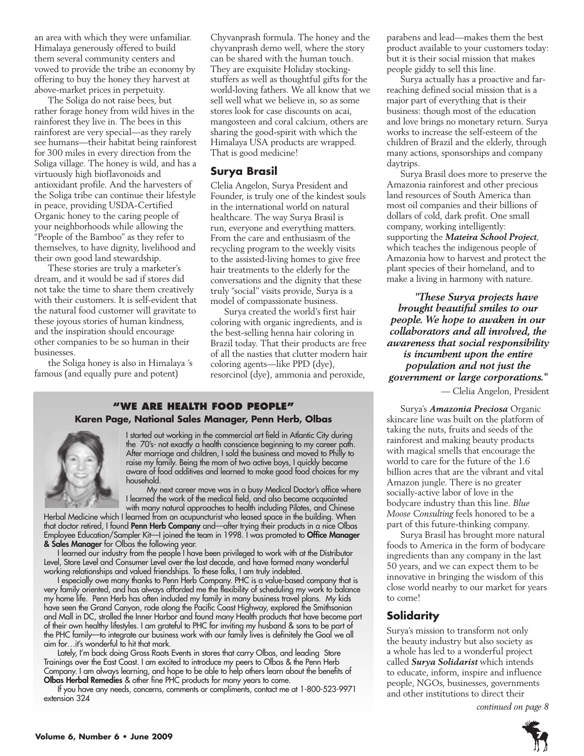an area with which they were unfamiliar. Himalaya generously offered to build them several community centers and vowed to provide the tribe an economy by offering to buy the honey they harvest at above-market prices in perpetuity.

The Soliga do not raise bees, but rather forage honey from wild hives in the rainforest they live in. The bees in this rainforest are very special—as they rarely see humans—their habitat being rainforest for 300 miles in every direction from the Soliga village. The honey is wild, and has a virtuously high bioflavonoids and antioxidant profile. And the harvesters of the Soliga tribe can continue their lifestyle in peace, providing USDA-Certified Organic honey to the caring people of your neighborhoods while allowing the "People of the Bamboo" as they refer to themselves, to have dignity, livelihood and their own good land stewardship.

These stories are truly a marketer's dream, and it would be sad if stores did not take the time to share them creatively with their customers. It is self-evident that the natural food customer will gravitate to these joyous stories of human kindness, and the inspiration should encourage other companies to be so human in their businesses.

the Soliga honey is also in Himalaya 's famous (and equally pure and potent)

Chyvanprash formula. The honey and the chyvanprash demo well, where the story can be shared with the human touch. They are exquisite Holiday stockingstuffers as well as thoughtful gifts for the world-loving fathers. We all know that we sell well what we believe in, so as some stores look for case discounts on acai, mangosteen and coral calcium, others are sharing the good-spirit with which the Himalaya USA products are wrapped. That is good medicine!

#### **Surya Brasil**

Clelia Angelon, Surya President and Founder, is truly one of the kindest souls in the international world on natural healthcare. The way Surya Brasil is run, everyone and everything matters. From the care and enthusiasm of the recycling program to the weekly visits to the assisted-living homes to give free hair treatments to the elderly for the conversations and the dignity that these truly "social" visits provide, Surya is a model of compassionate business.

Surya created the world's first hair coloring with organic ingredients, and is the best-selling henna hair coloring in Brazil today. That their products are free of all the nasties that clutter modern hair coloring agents—like PPD (dye), resorcinol (dye), ammonia and peroxide,

#### **"We Are health food people" Karen Page, National Sales Manager, Penn Herb, Olbas**



I started out working in the commercial art field in Atlantic City during the 70's- not exactly a health conscience beginning to my career path. After marriage and children, I sold the business and moved to Philly to raise my family. Being the mom of two active boys, I quickly became aware of food additives and learned to make good food choices for my household.

My next career move was in a busy Medical Doctor's office where I learned the work of the medical field, and also became acquainted

with many natural approaches to health including Pilates, and Chinese Herbal Medicine which I learned from an acupuncturist who leased space in the building. When that doctor retired, I found **Penn Herb Company** and—after trying their products in a nice Olbas Employee Education/Sampler Kit—I joined the team in 1998. I was promoted to **Office Manager & Sales Manager** for Olbas the following year.

I learned our industry from the people I have been privileged to work with at the Distributor Level, Store Level and Consumer Level over the last decade, and have formed many wonderful working relationships and valued friendships. To these folks, I am truly indebted.

I especially owe many thanks to Penn Herb Company. PHC is a value-based company that is very family oriented, and has always afforded me the flexibility of scheduling my work to balance my home life. Penn Herb has often included my family in many business travel plans. My kids have seen the Grand Canyon, rode along the Pacific Coast Highway, explored the Smithsonian and Mall in DC, strolled the Inner Harbor and found many Health products that have become part of their own healthy lifestyles. I am grateful to PHC for inviting my husband & sons to be part of the PHC family—to integrate our business work with our family lives is definitely the Goal we all aim for…it's wonderful to hit that mark.

Lately, I'm back doing Grass Roots Events in stores that carry Olbas, and leading Store Trainings over the East Coast. I am excited to introduce my peers to Olbas & the Penn Herb Company. I am always learning, and hope to be able to help others learn about the benefits of **Olbas Herbal Remedies** & other fine PHC products for many years to come.

If you have any needs, concerns, comments or compliments, contact me at 1-800-523-9971 extension 324

parabens and lead—makes them the best product available to your customers today: but it is their social mission that makes people giddy to sell this line.

Surya actually has a proactive and farreaching defined social mission that is a major part of everything that is their business: though most of the education and love brings no monetary return. Surya works to increase the self-esteem of the children of Brazil and the elderly, through many actions, sponsorships and company daytrips.

Surya Brasil does more to preserve the Amazonia rainforest and other precious land resources of South America than most oil companies and their billions of dollars of cold, dark profit. One small company, working intelligently: supporting the *Mateira School Project*, which teaches the indigenous people of Amazonia how to harvest and protect the plant species of their homeland, and to make a living in harmony with nature.

 *"These Surya projects have brought beautiful smiles to our people. We hope to awaken in our collaborators and all involved, the awareness that social responsibility is incumbent upon the entire population and not just the government or large corporations."*

— Clelia Angelon, President

Surya's *Amazonia Preciosa* Organic skincare line was built on the platform of taking the nuts, fruits and seeds of the rainforest and making beauty products with magical smells that encourage the world to care for the future of the 1.6 billion acres that are the vibrant and vital Amazon jungle. There is no greater socially-active labor of love in the bodycare industry than this line. *Blue Moose Consulting* feels honored to be a part of this future-thinking company.

Surya Brasil has brought more natural foods to America in the form of bodycare ingredients than any company in the last 50 years, and we can expect them to be innovative in bringing the wisdom of this close world nearby to our market for years to come!

#### **Solidarity**

Surya's mission to transform not only the beauty industry but also society as a whole has led to a wonderful project called *Surya Solidarist* which intends to educate, inform, inspire and influence people, NGOs, businesses, governments and other institutions to direct their

*continued on page 8*